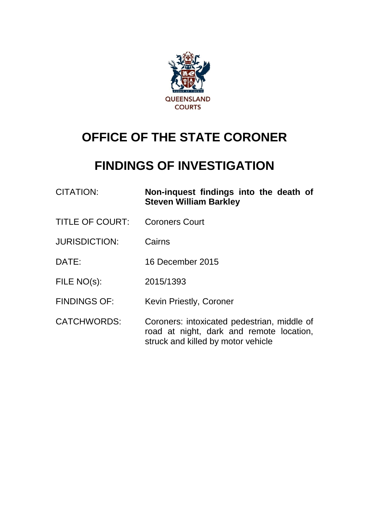

# **OFFICE OF THE STATE CORONER**

## **FINDINGS OF INVESTIGATION**

| <b>CITATION:</b>       | Non-inquest findings into the death of<br><b>Steven William Barkley</b>                                                       |
|------------------------|-------------------------------------------------------------------------------------------------------------------------------|
| <b>TITLE OF COURT:</b> | <b>Coroners Court</b>                                                                                                         |
| <b>JURISDICTION:</b>   | Cairns                                                                                                                        |
| DATE:                  | 16 December 2015                                                                                                              |
| FILE NO(s):            | 2015/1393                                                                                                                     |
| <b>FINDINGS OF:</b>    | Kevin Priestly, Coroner                                                                                                       |
| <b>CATCHWORDS:</b>     | Coroners: intoxicated pedestrian, middle of<br>road at night, dark and remote location,<br>struck and killed by motor vehicle |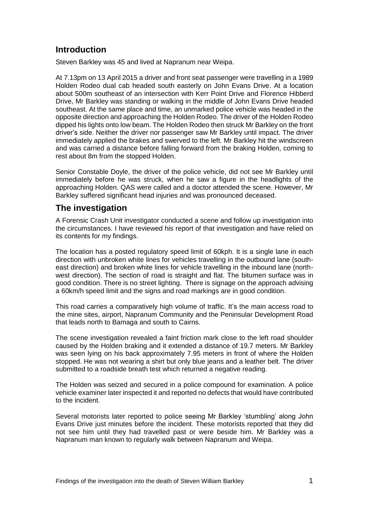### **Introduction**

Steven Barkley was 45 and lived at Napranum near Weipa.

At 7.13pm on 13 April 2015 a driver and front seat passenger were travelling in a 1989 Holden Rodeo dual cab headed south easterly on John Evans Drive. At a location about 500m southeast of an intersection with Kerr Point Drive and Florence Hibberd Drive, Mr Barkley was standing or walking in the middle of John Evans Drive headed southeast. At the same place and time, an unmarked police vehicle was headed in the opposite direction and approaching the Holden Rodeo. The driver of the Holden Rodeo dipped his lights onto low beam. The Holden Rodeo then struck Mr Barkley on the front driver's side. Neither the driver nor passenger saw Mr Barkley until impact. The driver immediately applied the brakes and swerved to the left. Mr Barkley hit the windscreen and was carried a distance before falling forward from the braking Holden, coming to rest about 8m from the stopped Holden.

Senior Constable Doyle, the driver of the police vehicle, did not see Mr Barkley until immediately before he was struck, when he saw a figure in the headlights of the approaching Holden. QAS were called and a doctor attended the scene. However, Mr Barkley suffered significant head injuries and was pronounced deceased.

#### **The investigation**

A Forensic Crash Unit investigator conducted a scene and follow up investigation into the circumstances. I have reviewed his report of that investigation and have relied on its contents for my findings.

The location has a posted regulatory speed limit of 60kph. It is a single lane in each direction with unbroken white lines for vehicles travelling in the outbound lane (southeast direction) and broken white lines for vehicle travelling in the inbound lane (northwest direction). The section of road is straight and flat. The bitumen surface was in good condition. There is no street lighting. There is signage on the approach advising a 60km/h speed limit and the signs and road markings are in good condition.

This road carries a comparatively high volume of traffic. It's the main access road to the mine sites, airport, Napranum Community and the Peninsular Development Road that leads north to Bamaga and south to Cairns.

The scene investigation revealed a faint friction mark close to the left road shoulder caused by the Holden braking and it extended a distance of 19.7 meters. Mr Barkley was seen lying on his back approximately 7.95 meters in front of where the Holden stopped. He was not wearing a shirt but only blue jeans and a leather belt. The driver submitted to a roadside breath test which returned a negative reading.

The Holden was seized and secured in a police compound for examination. A police vehicle examiner later inspected it and reported no defects that would have contributed to the incident.

Several motorists later reported to police seeing Mr Barkley 'stumbling' along John Evans Drive just minutes before the incident. These motorists reported that they did not see him until they had travelled past or were beside him. Mr Barkley was a Napranum man known to regularly walk between Napranum and Weipa.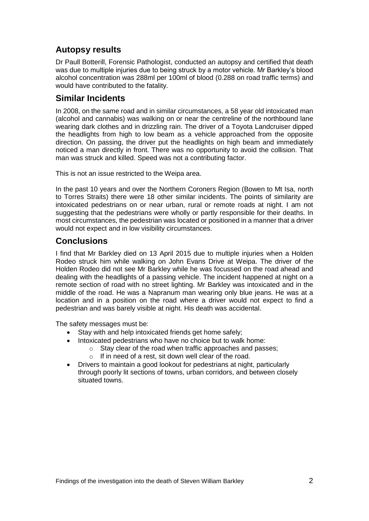## **Autopsy results**

Dr Paull Botterill, Forensic Pathologist, conducted an autopsy and certified that death was due to multiple injuries due to being struck by a motor vehicle. Mr Barkley's blood alcohol concentration was 288ml per 100ml of blood (0.288 on road traffic terms) and would have contributed to the fatality.

#### **Similar Incidents**

In 2008, on the same road and in similar circumstances, a 58 year old intoxicated man (alcohol and cannabis) was walking on or near the centreline of the northbound lane wearing dark clothes and in drizzling rain. The driver of a Toyota Landcruiser dipped the headlights from high to low beam as a vehicle approached from the opposite direction. On passing, the driver put the headlights on high beam and immediately noticed a man directly in front. There was no opportunity to avoid the collision. That man was struck and killed. Speed was not a contributing factor.

This is not an issue restricted to the Weipa area.

In the past 10 years and over the Northern Coroners Region (Bowen to Mt Isa, north to Torres Straits) there were 18 other similar incidents. The points of similarity are intoxicated pedestrians on or near urban, rural or remote roads at night. I am not suggesting that the pedestrians were wholly or partly responsible for their deaths. In most circumstances, the pedestrian was located or positioned in a manner that a driver would not expect and in low visibility circumstances.

#### **Conclusions**

I find that Mr Barkley died on 13 April 2015 due to multiple injuries when a Holden Rodeo struck him while walking on John Evans Drive at Weipa. The driver of the Holden Rodeo did not see Mr Barkley while he was focussed on the road ahead and dealing with the headlights of a passing vehicle. The incident happened at night on a remote section of road with no street lighting. Mr Barkley was intoxicated and in the middle of the road. He was a Napranum man wearing only blue jeans. He was at a location and in a position on the road where a driver would not expect to find a pedestrian and was barely visible at night. His death was accidental.

The safety messages must be:

- Stay with and help intoxicated friends get home safely;
- Intoxicated pedestrians who have no choice but to walk home:
	- o Stay clear of the road when traffic approaches and passes;
	- o If in need of a rest, sit down well clear of the road.
- Drivers to maintain a good lookout for pedestrians at night, particularly through poorly lit sections of towns, urban corridors, and between closely situated towns.